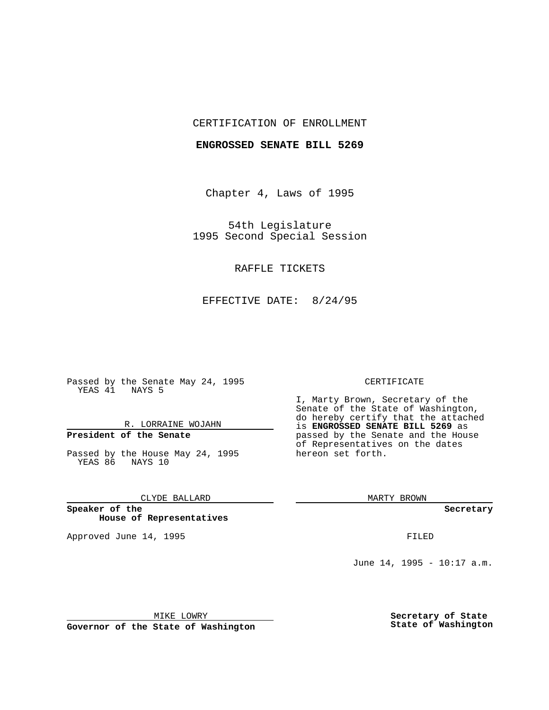## CERTIFICATION OF ENROLLMENT

### **ENGROSSED SENATE BILL 5269**

Chapter 4, Laws of 1995

54th Legislature 1995 Second Special Session

## RAFFLE TICKETS

EFFECTIVE DATE: 8/24/95

Passed by the Senate May 24, 1995 YEAS 41 NAYS 5

R. LORRAINE WOJAHN

# **President of the Senate**

Passed by the House May 24, 1995 YEAS 86 NAYS 10

CLYDE BALLARD

**Speaker of the House of Representatives**

Approved June 14, 1995 **FILED** 

#### CERTIFICATE

I, Marty Brown, Secretary of the Senate of the State of Washington, do hereby certify that the attached is **ENGROSSED SENATE BILL 5269** as passed by the Senate and the House of Representatives on the dates hereon set forth.

MARTY BROWN

**Secretary**

June 14, 1995 - 10:17 a.m.

MIKE LOWRY

**Governor of the State of Washington**

**Secretary of State State of Washington**